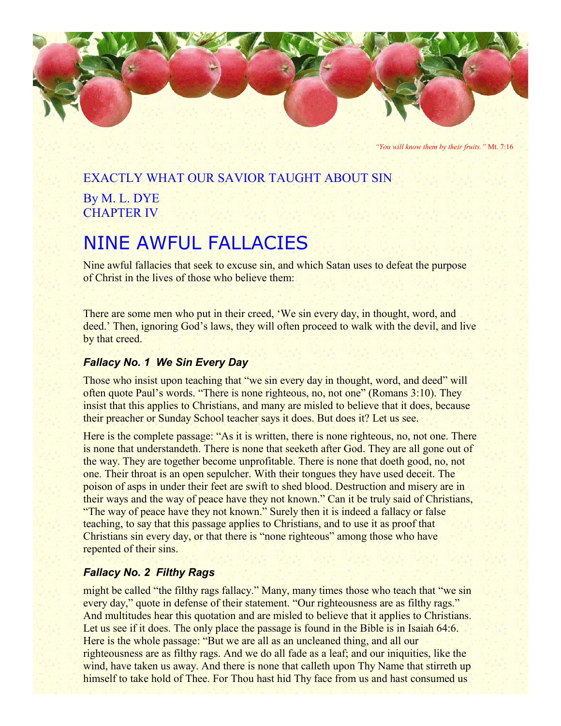

*"You will know them by their fruits."* Mt. 7:16

# EXACTLY WHAT OUR SAVIOR TAUGHT ABOUT SIN By M. L. DYE

CHAPTER IV

# NINE AWFUL FALLACIES

Nine awful fallacies that seek to excuse sin, and which Satan uses to defeat the purpose of Christ in the lives of those who believe them:

There are some men who put in their creed, 'We sin every day, in thought, word, and deed.' Then, ignoring God's laws, they will often proceed to walk with the devil, and live by that creed.

# *Fallacy No. 1 We Sin Every Day*

Those who insist upon teaching that "we sin every day in thought, word, and deed" will often quote Paul's words. "There is none righteous, no, not one" (Romans 3:10). They insist that this applies to Christians, and many are misled to believe that it does, because their preacher or Sunday School teacher says it does. But does it? Let us see.

Here is the complete passage: "As it is written, there is none righteous, no, not one. There is none that understandeth. There is none that seeketh after God. They are all gone out of the way. They are together become unprofitable. There is none that doeth good, no, not one. Their throat is an open sepulcher. With their tongues they have used deceit. The poison of asps in under their feet are swift to shed blood. Destruction and misery are in their ways and the way of peace have they not known." Can it be truly said of Christians, "The way of peace have they not known." Surely then it is indeed a fallacy or false teaching, to say that this passage applies to Christians, and to use it as proof that Christians sin every day, or that there is "none righteous" among those who have repented of their sins.

# *Fallacy No. 2 Filthy Rags*

might be called "the filthy rags fallacy." Many, many times those who teach that "we sin every day," quote in defense of their statement. "Our righteousness are as filthy rags." And multitudes hear this quotation and are misled to believe that it applies to Christians. Let us see if it does. The only place the passage is found in the Bible is in Isaiah 64:6. Here is the whole passage: "But we are all as an uncleaned thing, and all our righteousness are as filthy rags. And we do all fade as a leaf; and our iniquities, like the wind, have taken us away. And there is none that calleth upon Thy Name that stirreth up himself to take hold of Thee. For Thou hast hid Thy face from us and hast consumed us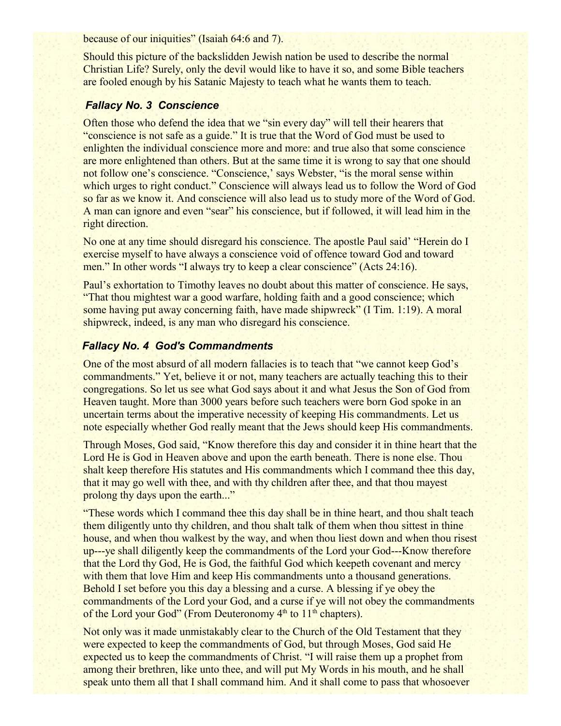because of our iniquities" (Isaiah 64:6 and 7).

Should this picture of the backslidden Jewish nation be used to describe the normal Christian Life? Surely, only the devil would like to have it so, and some Bible teachers are fooled enough by his Satanic Majesty to teach what he wants them to teach.

### *Fallacy No. 3 Conscience*

Often those who defend the idea that we "sin every day" will tell their hearers that "conscience is not safe as a guide." It is true that the Word of God must be used to enlighten the individual conscience more and more: and true also that some conscience are more enlightened than others. But at the same time it is wrong to say that one should not follow one's conscience. "Conscience,' says Webster, "is the moral sense within which urges to right conduct." Conscience will always lead us to follow the Word of God so far as we know it. And conscience will also lead us to study more of the Word of God. A man can ignore and even "sear" his conscience, but if followed, it will lead him in the right direction.

No one at any time should disregard his conscience. The apostle Paul said' "Herein do I exercise myself to have always a conscience void of offence toward God and toward men." In other words "I always try to keep a clear conscience" (Acts 24:16).

Paul's exhortation to Timothy leaves no doubt about this matter of conscience. He says, "That thou mightest war a good warfare, holding faith and a good conscience; which some having put away concerning faith, have made shipwreck" (I Tim. 1:19). A moral shipwreck, indeed, is any man who disregard his conscience.

#### *Fallacy No. 4 God's Commandments*

One of the most absurd of all modern fallacies is to teach that "we cannot keep God's commandments." Yet, believe it or not, many teachers are actually teaching this to their congregations. So let us see what God says about it and what Jesus the Son of God from Heaven taught. More than 3000 years before such teachers were born God spoke in an uncertain terms about the imperative necessity of keeping His commandments. Let us note especially whether God really meant that the Jews should keep His commandments.

Through Moses, God said, "Know therefore this day and consider it in thine heart that the Lord He is God in Heaven above and upon the earth beneath. There is none else. Thou shalt keep therefore His statutes and His commandments which I command thee this day, that it may go well with thee, and with thy children after thee, and that thou mayest prolong thy days upon the earth..."

"These words which I command thee this day shall be in thine heart, and thou shalt teach them diligently unto thy children, and thou shalt talk of them when thou sittest in thine house, and when thou walkest by the way, and when thou liest down and when thou risest up---ye shall diligently keep the commandments of the Lord your God---Know therefore that the Lord thy God, He is God, the faithful God which keepeth covenant and mercy with them that love Him and keep His commandments unto a thousand generations. Behold I set before you this day a blessing and a curse. A blessing if ye obey the commandments of the Lord your God, and a curse if ye will not obey the commandments of the Lord your God" (From Deuteronomy  $4<sup>th</sup>$  to  $11<sup>th</sup>$  chapters).

Not only was it made unmistakably clear to the Church of the Old Testament that they were expected to keep the commandments of God, but through Moses, God said He expected us to keep the commandments of Christ. "I will raise them up a prophet from among their brethren, like unto thee, and will put My Words in his mouth, and he shall speak unto them all that I shall command him. And it shall come to pass that whosoever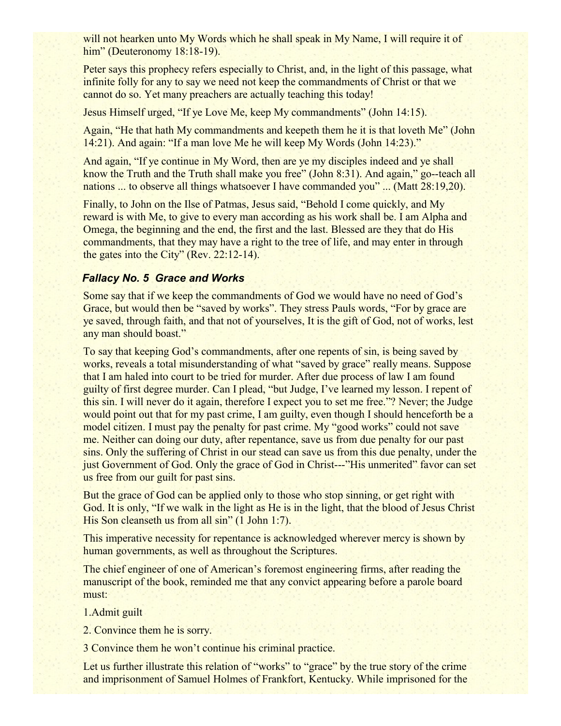will not hearken unto My Words which he shall speak in My Name, I will require it of him" (Deuteronomy 18:18-19).

Peter says this prophecy refers especially to Christ, and, in the light of this passage, what infinite folly for any to say we need not keep the commandments of Christ or that we cannot do so. Yet many preachers are actually teaching this today!

Jesus Himself urged, "If ye Love Me, keep My commandments" (John 14:15).

Again, "He that hath My commandments and keepeth them he it is that loveth Me" (John 14:21). And again: "If a man love Me he will keep My Words (John 14:23)."

And again, "If ye continue in My Word, then are ye my disciples indeed and ye shall know the Truth and the Truth shall make you free" (John 8:31). And again," go--teach all nations ... to observe all things whatsoever I have commanded you" ... (Matt 28:19,20).

Finally, to John on the Ilse of Patmas, Jesus said, "Behold I come quickly, and My reward is with Me, to give to every man according as his work shall be. I am Alpha and Omega, the beginning and the end, the first and the last. Blessed are they that do His commandments, that they may have a right to the tree of life, and may enter in through the gates into the City" (Rev. 22:12-14).

# *Fallacy No. 5 Grace and Works*

Some say that if we keep the commandments of God we would have no need of God's Grace, but would then be "saved by works". They stress Pauls words, "For by grace are ye saved, through faith, and that not of yourselves, It is the gift of God, not of works, lest any man should boast."

To say that keeping God's commandments, after one repents of sin, is being saved by works, reveals a total misunderstanding of what "saved by grace" really means. Suppose that I am haled into court to be tried for murder. After due process of law I am found guilty of first degree murder. Can I plead, "but Judge, I've learned my lesson. I repent of this sin. I will never do it again, therefore I expect you to set me free."? Never; the Judge would point out that for my past crime, I am guilty, even though I should henceforth be a model citizen. I must pay the penalty for past crime. My "good works" could not save me. Neither can doing our duty, after repentance, save us from due penalty for our past sins. Only the suffering of Christ in our stead can save us from this due penalty, under the just Government of God. Only the grace of God in Christ---"His unmerited" favor can set us free from our guilt for past sins.

But the grace of God can be applied only to those who stop sinning, or get right with God. It is only, "If we walk in the light as He is in the light, that the blood of Jesus Christ His Son cleanseth us from all sin" (1 John 1:7).

This imperative necessity for repentance is acknowledged wherever mercy is shown by human governments, as well as throughout the Scriptures.

The chief engineer of one of American's foremost engineering firms, after reading the manuscript of the book, reminded me that any convict appearing before a parole board must:

1.Admit guilt

2. Convince them he is sorry.

3 Convince them he won't continue his criminal practice.

Let us further illustrate this relation of "works" to "grace" by the true story of the crime and imprisonment of Samuel Holmes of Frankfort, Kentucky. While imprisoned for the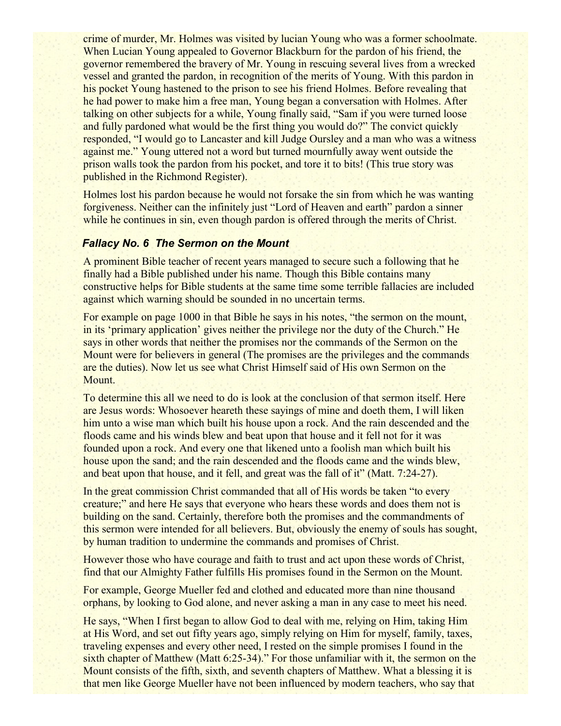crime of murder, Mr. Holmes was visited by lucian Young who was a former schoolmate. When Lucian Young appealed to Governor Blackburn for the pardon of his friend, the governor remembered the bravery of Mr. Young in rescuing several lives from a wrecked vessel and granted the pardon, in recognition of the merits of Young. With this pardon in his pocket Young hastened to the prison to see his friend Holmes. Before revealing that he had power to make him a free man, Young began a conversation with Holmes. After talking on other subjects for a while, Young finally said, "Sam if you were turned loose and fully pardoned what would be the first thing you would do?" The convict quickly responded, "I would go to Lancaster and kill Judge Oursley and a man who was a witness against me." Young uttered not a word but turned mournfully away went outside the prison walls took the pardon from his pocket, and tore it to bits! (This true story was published in the Richmond Register).

Holmes lost his pardon because he would not forsake the sin from which he was wanting forgiveness. Neither can the infinitely just "Lord of Heaven and earth" pardon a sinner while he continues in sin, even though pardon is offered through the merits of Christ.

#### *Fallacy No. 6 The Sermon on the Mount*

A prominent Bible teacher of recent years managed to secure such a following that he finally had a Bible published under his name. Though this Bible contains many constructive helps for Bible students at the same time some terrible fallacies are included against which warning should be sounded in no uncertain terms.

For example on page 1000 in that Bible he says in his notes, "the sermon on the mount, in its 'primary application' gives neither the privilege nor the duty of the Church." He says in other words that neither the promises nor the commands of the Sermon on the Mount were for believers in general (The promises are the privileges and the commands are the duties). Now let us see what Christ Himself said of His own Sermon on the Mount.

To determine this all we need to do is look at the conclusion of that sermon itself. Here are Jesus words: Whosoever heareth these sayings of mine and doeth them, I will liken him unto a wise man which built his house upon a rock. And the rain descended and the floods came and his winds blew and beat upon that house and it fell not for it was founded upon a rock. And every one that likened unto a foolish man which built his house upon the sand; and the rain descended and the floods came and the winds blew, and beat upon that house, and it fell, and great was the fall of it" (Matt. 7:24-27).

In the great commission Christ commanded that all of His words be taken "to every creature;" and here He says that everyone who hears these words and does them not is building on the sand. Certainly, therefore both the promises and the commandments of this sermon were intended for all believers. But, obviously the enemy of souls has sought, by human tradition to undermine the commands and promises of Christ.

However those who have courage and faith to trust and act upon these words of Christ, find that our Almighty Father fulfills His promises found in the Sermon on the Mount.

For example, George Mueller fed and clothed and educated more than nine thousand orphans, by looking to God alone, and never asking a man in any case to meet his need.

He says, "When I first began to allow God to deal with me, relying on Him, taking Him at His Word, and set out fifty years ago, simply relying on Him for myself, family, taxes, traveling expenses and every other need, I rested on the simple promises I found in the sixth chapter of Matthew (Matt 6:25-34)." For those unfamiliar with it, the sermon on the Mount consists of the fifth, sixth, and seventh chapters of Matthew. What a blessing it is that men like George Mueller have not been influenced by modern teachers, who say that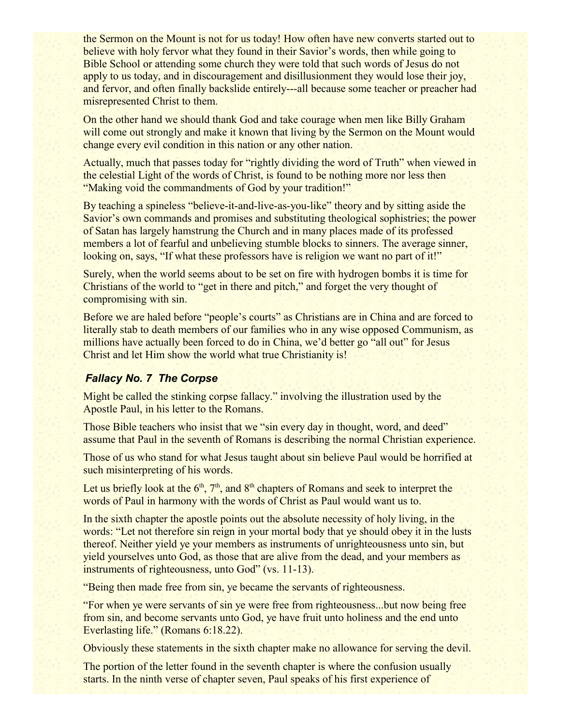the Sermon on the Mount is not for us today! How often have new converts started out to believe with holy fervor what they found in their Savior's words, then while going to Bible School or attending some church they were told that such words of Jesus do not apply to us today, and in discouragement and disillusionment they would lose their joy, and fervor, and often finally backslide entirely---all because some teacher or preacher had misrepresented Christ to them.

On the other hand we should thank God and take courage when men like Billy Graham will come out strongly and make it known that living by the Sermon on the Mount would change every evil condition in this nation or any other nation.

Actually, much that passes today for "rightly dividing the word of Truth" when viewed in the celestial Light of the words of Christ, is found to be nothing more nor less then "Making void the commandments of God by your tradition!"

By teaching a spineless "believe-it-and-live-as-you-like" theory and by sitting aside the Savior's own commands and promises and substituting theological sophistries; the power of Satan has largely hamstrung the Church and in many places made of its professed members a lot of fearful and unbelieving stumble blocks to sinners. The average sinner, looking on, says, "If what these professors have is religion we want no part of it!"

Surely, when the world seems about to be set on fire with hydrogen bombs it is time for Christians of the world to "get in there and pitch," and forget the very thought of compromising with sin.

Before we are haled before "people's courts" as Christians are in China and are forced to literally stab to death members of our families who in any wise opposed Communism, as millions have actually been forced to do in China, we'd better go "all out" for Jesus Christ and let Him show the world what true Christianity is!

### *Fallacy No. 7 The Corpse*

Might be called the stinking corpse fallacy." involving the illustration used by the Apostle Paul, in his letter to the Romans.

Those Bible teachers who insist that we "sin every day in thought, word, and deed" assume that Paul in the seventh of Romans is describing the normal Christian experience.

Those of us who stand for what Jesus taught about sin believe Paul would be horrified at such misinterpreting of his words.

Let us briefly look at the  $6<sup>th</sup>$ ,  $7<sup>th</sup>$ , and  $8<sup>th</sup>$  chapters of Romans and seek to interpret the words of Paul in harmony with the words of Christ as Paul would want us to.

In the sixth chapter the apostle points out the absolute necessity of holy living, in the words: "Let not therefore sin reign in your mortal body that ye should obey it in the lusts thereof. Neither yield ye your members as instruments of unrighteousness unto sin, but yield yourselves unto God, as those that are alive from the dead, and your members as instruments of righteousness, unto God" (vs. 11-13).

"Being then made free from sin, ye became the servants of righteousness.

"For when ye were servants of sin ye were free from righteousness...but now being free from sin, and become servants unto God, ye have fruit unto holiness and the end unto Everlasting life." (Romans 6:18.22).

Obviously these statements in the sixth chapter make no allowance for serving the devil.

The portion of the letter found in the seventh chapter is where the confusion usually starts. In the ninth verse of chapter seven, Paul speaks of his first experience of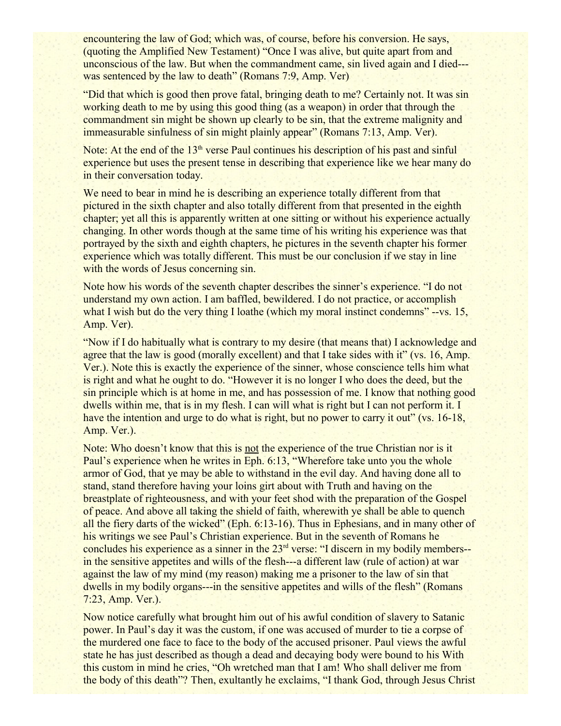encountering the law of God; which was, of course, before his conversion. He says, (quoting the Amplified New Testament) "Once I was alive, but quite apart from and unconscious of the law. But when the commandment came, sin lived again and I died-- was sentenced by the law to death" (Romans 7:9, Amp. Ver)

"Did that which is good then prove fatal, bringing death to me? Certainly not. It was sin working death to me by using this good thing (as a weapon) in order that through the commandment sin might be shown up clearly to be sin, that the extreme malignity and immeasurable sinfulness of sin might plainly appear" (Romans 7:13, Amp. Ver).

Note: At the end of the  $13<sup>th</sup>$  verse Paul continues his description of his past and sinful experience but uses the present tense in describing that experience like we hear many do in their conversation today.

We need to bear in mind he is describing an experience totally different from that pictured in the sixth chapter and also totally different from that presented in the eighth chapter; yet all this is apparently written at one sitting or without his experience actually changing. In other words though at the same time of his writing his experience was that portrayed by the sixth and eighth chapters, he pictures in the seventh chapter his former experience which was totally different. This must be our conclusion if we stay in line with the words of Jesus concerning sin.

Note how his words of the seventh chapter describes the sinner's experience. "I do not understand my own action. I am baffled, bewildered. I do not practice, or accomplish what I wish but do the very thing I loathe (which my moral instinct condemns" --vs. 15, Amp. Ver).

"Now if I do habitually what is contrary to my desire (that means that) I acknowledge and agree that the law is good (morally excellent) and that I take sides with it" (vs. 16, Amp. Ver.). Note this is exactly the experience of the sinner, whose conscience tells him what is right and what he ought to do. "However it is no longer I who does the deed, but the sin principle which is at home in me, and has possession of me. I know that nothing good dwells within me, that is in my flesh. I can will what is right but I can not perform it. I have the intention and urge to do what is right, but no power to carry it out" (vs. 16-18, Amp. Ver.).

Note: Who doesn't know that this is not the experience of the true Christian nor is it Paul's experience when he writes in Eph. 6:13, "Wherefore take unto you the whole armor of God, that ye may be able to withstand in the evil day. And having done all to stand, stand therefore having your loins girt about with Truth and having on the breastplate of righteousness, and with your feet shod with the preparation of the Gospel of peace. And above all taking the shield of faith, wherewith ye shall be able to quench all the fiery darts of the wicked" (Eph. 6:13-16). Thus in Ephesians, and in many other of his writings we see Paul's Christian experience. But in the seventh of Romans he concludes his experience as a sinner in the 23<sup>rd</sup> verse: "I discern in my bodily members-in the sensitive appetites and wills of the flesh---a different law (rule of action) at war against the law of my mind (my reason) making me a prisoner to the law of sin that dwells in my bodily organs---in the sensitive appetites and wills of the flesh" (Romans 7:23, Amp. Ver.).

Now notice carefully what brought him out of his awful condition of slavery to Satanic power. In Paul's day it was the custom, if one was accused of murder to tie a corpse of the murdered one face to face to the body of the accused prisoner. Paul views the awful state he has just described as though a dead and decaying body were bound to his With this custom in mind he cries, "Oh wretched man that I am! Who shall deliver me from the body of this death"? Then, exultantly he exclaims, "I thank God, through Jesus Christ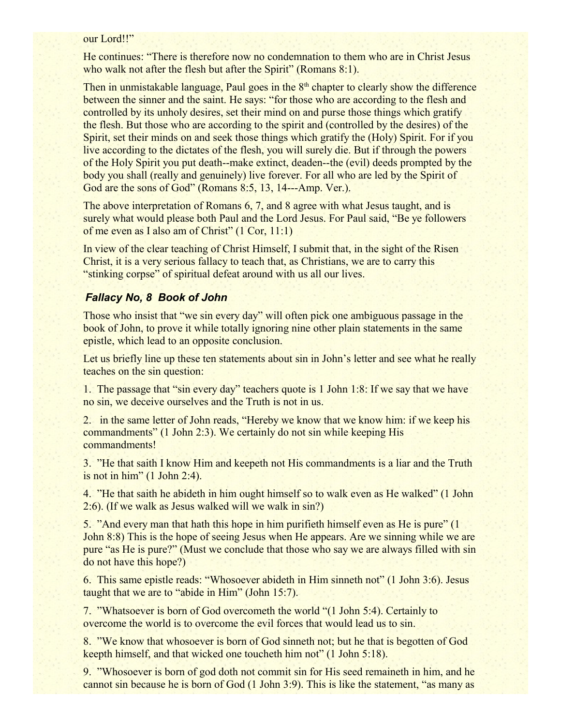#### our Lord!!"

He continues: "There is therefore now no condemnation to them who are in Christ Jesus who walk not after the flesh but after the Spirit" (Romans 8:1).

Then in unmistakable language, Paul goes in the  $8<sup>th</sup>$  chapter to clearly show the difference between the sinner and the saint. He says: "for those who are according to the flesh and controlled by its unholy desires, set their mind on and purse those things which gratify the flesh. But those who are according to the spirit and (controlled by the desires) of the Spirit, set their minds on and seek those things which gratify the (Holy) Spirit. For if you live according to the dictates of the flesh, you will surely die. But if through the powers of the Holy Spirit you put death--make extinct, deaden--the (evil) deeds prompted by the body you shall (really and genuinely) live forever. For all who are led by the Spirit of God are the sons of God" (Romans 8:5, 13, 14---Amp. Ver.).

The above interpretation of Romans 6, 7, and 8 agree with what Jesus taught, and is surely what would please both Paul and the Lord Jesus. For Paul said, "Be ye followers" of me even as I also am of Christ" (1 Cor, 11:1)

In view of the clear teaching of Christ Himself, I submit that, in the sight of the Risen Christ, it is a very serious fallacy to teach that, as Christians, we are to carry this "stinking corpse" of spiritual defeat around with us all our lives.

#### *Fallacy No, 8 Book of John*

Those who insist that "we sin every day" will often pick one ambiguous passage in the book of John, to prove it while totally ignoring nine other plain statements in the same epistle, which lead to an opposite conclusion.

Let us briefly line up these ten statements about sin in John's letter and see what he really teaches on the sin question:

1. The passage that "sin every day" teachers quote is 1 John 1:8: If we say that we have no sin, we deceive ourselves and the Truth is not in us.

2. in the same letter of John reads, "Hereby we know that we know him: if we keep his commandments" (1 John 2:3). We certainly do not sin while keeping His commandments!

3. "He that saith I know Him and keepeth not His commandments is a liar and the Truth is not in him" (1 John 2:4).

4. "He that saith he abideth in him ought himself so to walk even as He walked" (1 John 2:6). (If we walk as Jesus walked will we walk in sin?)

5. "And every man that hath this hope in him purifieth himself even as He is pure" (1 John 8:8) This is the hope of seeing Jesus when He appears. Are we sinning while we are pure "as He is pure?" (Must we conclude that those who say we are always filled with sin do not have this hope?)

6. This same epistle reads: "Whosoever abideth in Him sinneth not" (1 John 3:6). Jesus taught that we are to "abide in Him" (John 15:7).

7. "Whatsoever is born of God overcometh the world "(1 John 5:4). Certainly to overcome the world is to overcome the evil forces that would lead us to sin.

8. "We know that whosoever is born of God sinneth not; but he that is begotten of God keepth himself, and that wicked one toucheth him not" (1 John 5:18).

9. "Whosoever is born of god doth not commit sin for His seed remaineth in him, and he cannot sin because he is born of God (1 John 3:9). This is like the statement, "as many as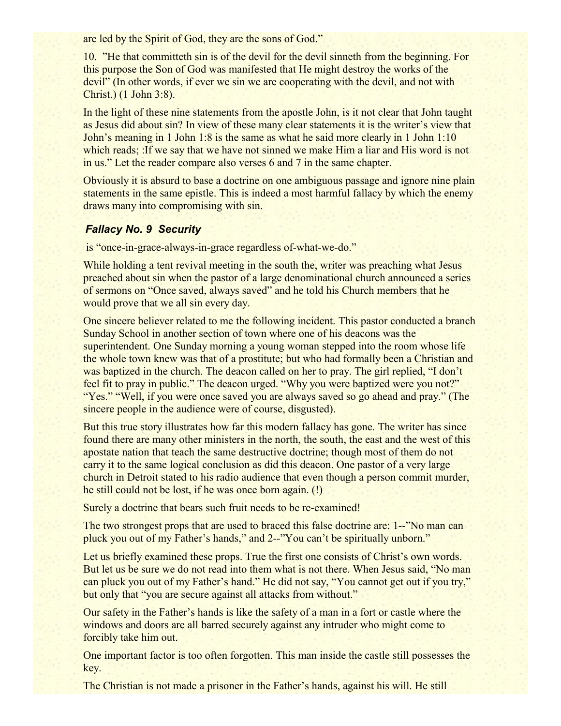are led by the Spirit of God, they are the sons of God."

10. "He that committeth sin is of the devil for the devil sinneth from the beginning. For this purpose the Son of God was manifested that He might destroy the works of the devil" (In other words, if ever we sin we are cooperating with the devil, and not with Christ.) (1 John 3:8).

In the light of these nine statements from the apostle John, is it not clear that John taught as Jesus did about sin? In view of these many clear statements it is the writer's view that John's meaning in 1 John 1:8 is the same as what he said more clearly in 1 John 1:10 which reads; :If we say that we have not sinned we make Him a liar and His word is not in us." Let the reader compare also verses 6 and 7 in the same chapter.

Obviously it is absurd to base a doctrine on one ambiguous passage and ignore nine plain statements in the same epistle. This is indeed a most harmful fallacy by which the enemy draws many into compromising with sin.

### *Fallacy No. 9 Security*

is "once-in-grace-always-in-grace regardless of-what-we-do."

While holding a tent revival meeting in the south the, writer was preaching what Jesus preached about sin when the pastor of a large denominational church announced a series of sermons on "Once saved, always saved" and he told his Church members that he would prove that we all sin every day.

One sincere believer related to me the following incident. This pastor conducted a branch Sunday School in another section of town where one of his deacons was the superintendent. One Sunday morning a young woman stepped into the room whose life the whole town knew was that of a prostitute; but who had formally been a Christian and was baptized in the church. The deacon called on her to pray. The girl replied, "I don't feel fit to pray in public." The deacon urged. "Why you were baptized were you not?" "Yes." "Well, if you were once saved you are always saved so go ahead and pray." (The sincere people in the audience were of course, disgusted).

But this true story illustrates how far this modern fallacy has gone. The writer has since found there are many other ministers in the north, the south, the east and the west of this apostate nation that teach the same destructive doctrine; though most of them do not carry it to the same logical conclusion as did this deacon. One pastor of a very large church in Detroit stated to his radio audience that even though a person commit murder, he still could not be lost, if he was once born again. (!)

Surely a doctrine that bears such fruit needs to be re-examined!

The two strongest props that are used to braced this false doctrine are: 1--"No man can pluck you out of my Father's hands," and 2--"You can't be spiritually unborn."

Let us briefly examined these props. True the first one consists of Christ's own words. But let us be sure we do not read into them what is not there. When Jesus said, "No man can pluck you out of my Father's hand." He did not say, "You cannot get out if you try," but only that "you are secure against all attacks from without."

Our safety in the Father's hands is like the safety of a man in a fort or castle where the windows and doors are all barred securely against any intruder who might come to forcibly take him out.

One important factor is too often forgotten. This man inside the castle still possesses the key.

The Christian is not made a prisoner in the Father's hands, against his will. He still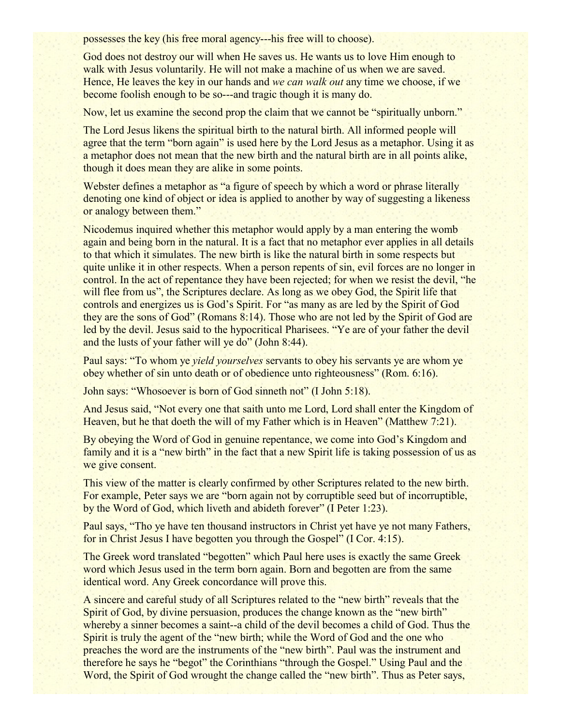possesses the key (his free moral agency---his free will to choose).

God does not destroy our will when He saves us. He wants us to love Him enough to walk with Jesus voluntarily. He will not make a machine of us when we are saved. Hence, He leaves the key in our hands and *we can walk out* any time we choose, if we become foolish enough to be so---and tragic though it is many do.

Now, let us examine the second prop the claim that we cannot be "spiritually unborn."

The Lord Jesus likens the spiritual birth to the natural birth. All informed people will agree that the term "born again" is used here by the Lord Jesus as a metaphor. Using it as a metaphor does not mean that the new birth and the natural birth are in all points alike, though it does mean they are alike in some points.

Webster defines a metaphor as "a figure of speech by which a word or phrase literally denoting one kind of object or idea is applied to another by way of suggesting a likeness or analogy between them."

Nicodemus inquired whether this metaphor would apply by a man entering the womb again and being born in the natural. It is a fact that no metaphor ever applies in all details to that which it simulates. The new birth is like the natural birth in some respects but quite unlike it in other respects. When a person repents of sin, evil forces are no longer in control. In the act of repentance they have been rejected; for when we resist the devil, "he will flee from us", the Scriptures declare. As long as we obey God, the Spirit life that controls and energizes us is God's Spirit. For "as many as are led by the Spirit of God they are the sons of God" (Romans 8:14). Those who are not led by the Spirit of God are led by the devil. Jesus said to the hypocritical Pharisees. "Ye are of your father the devil and the lusts of your father will ye do" (John 8:44).

Paul says: "To whom ye *yield yourselves* servants to obey his servants ye are whom ye obey whether of sin unto death or of obedience unto righteousness" (Rom. 6:16).

John says: "Whosoever is born of God sinneth not" (I John 5:18).

And Jesus said, "Not every one that saith unto me Lord, Lord shall enter the Kingdom of Heaven, but he that doeth the will of my Father which is in Heaven" (Matthew 7:21).

By obeying the Word of God in genuine repentance, we come into God's Kingdom and family and it is a "new birth" in the fact that a new Spirit life is taking possession of us as we give consent.

This view of the matter is clearly confirmed by other Scriptures related to the new birth. For example, Peter says we are "born again not by corruptible seed but of incorruptible, by the Word of God, which liveth and abideth forever" (I Peter 1:23).

Paul says, "Tho ye have ten thousand instructors in Christ yet have ye not many Fathers, for in Christ Jesus I have begotten you through the Gospel" (I Cor. 4:15).

The Greek word translated "begotten" which Paul here uses is exactly the same Greek word which Jesus used in the term born again. Born and begotten are from the same identical word. Any Greek concordance will prove this.

A sincere and careful study of all Scriptures related to the "new birth" reveals that the Spirit of God, by divine persuasion, produces the change known as the "new birth" whereby a sinner becomes a saint--a child of the devil becomes a child of God. Thus the Spirit is truly the agent of the "new birth; while the Word of God and the one who preaches the word are the instruments of the "new birth". Paul was the instrument and therefore he says he "begot" the Corinthians "through the Gospel." Using Paul and the Word, the Spirit of God wrought the change called the "new birth". Thus as Peter says,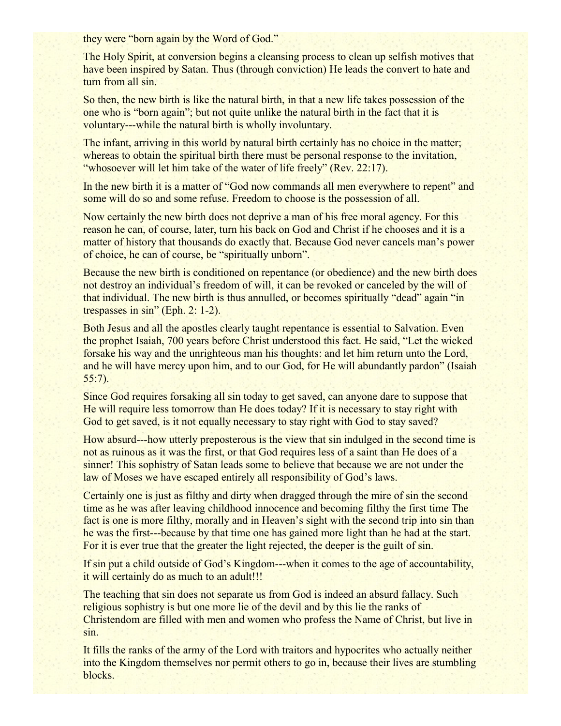they were "born again by the Word of God."

The Holy Spirit, at conversion begins a cleansing process to clean up selfish motives that have been inspired by Satan. Thus (through conviction) He leads the convert to hate and turn from all sin.

So then, the new birth is like the natural birth, in that a new life takes possession of the one who is "born again"; but not quite unlike the natural birth in the fact that it is voluntary---while the natural birth is wholly involuntary.

The infant, arriving in this world by natural birth certainly has no choice in the matter; whereas to obtain the spiritual birth there must be personal response to the invitation, "whosoever will let him take of the water of life freely" (Rev. 22:17).

In the new birth it is a matter of "God now commands all men everywhere to repent" and some will do so and some refuse. Freedom to choose is the possession of all.

Now certainly the new birth does not deprive a man of his free moral agency. For this reason he can, of course, later, turn his back on God and Christ if he chooses and it is a matter of history that thousands do exactly that. Because God never cancels man's power of choice, he can of course, be "spiritually unborn".

Because the new birth is conditioned on repentance (or obedience) and the new birth does not destroy an individual's freedom of will, it can be revoked or canceled by the will of that individual. The new birth is thus annulled, or becomes spiritually "dead" again "in trespasses in sin" (Eph. 2: 1-2).

Both Jesus and all the apostles clearly taught repentance is essential to Salvation. Even the prophet Isaiah, 700 years before Christ understood this fact. He said, "Let the wicked forsake his way and the unrighteous man his thoughts: and let him return unto the Lord, and he will have mercy upon him, and to our God, for He will abundantly pardon" (Isaiah 55:7).

Since God requires forsaking all sin today to get saved, can anyone dare to suppose that He will require less tomorrow than He does today? If it is necessary to stay right with God to get saved, is it not equally necessary to stay right with God to stay saved?

How absurd---how utterly preposterous is the view that sin indulged in the second time is not as ruinous as it was the first, or that God requires less of a saint than He does of a sinner! This sophistry of Satan leads some to believe that because we are not under the law of Moses we have escaped entirely all responsibility of God's laws.

Certainly one is just as filthy and dirty when dragged through the mire of sin the second time as he was after leaving childhood innocence and becoming filthy the first time The fact is one is more filthy, morally and in Heaven's sight with the second trip into sin than he was the first---because by that time one has gained more light than he had at the start. For it is ever true that the greater the light rejected, the deeper is the guilt of sin.

If sin put a child outside of God's Kingdom---when it comes to the age of accountability, it will certainly do as much to an adult!!!

The teaching that sin does not separate us from God is indeed an absurd fallacy. Such religious sophistry is but one more lie of the devil and by this lie the ranks of Christendom are filled with men and women who profess the Name of Christ, but live in sin.

It fills the ranks of the army of the Lord with traitors and hypocrites who actually neither into the Kingdom themselves nor permit others to go in, because their lives are stumbling blocks.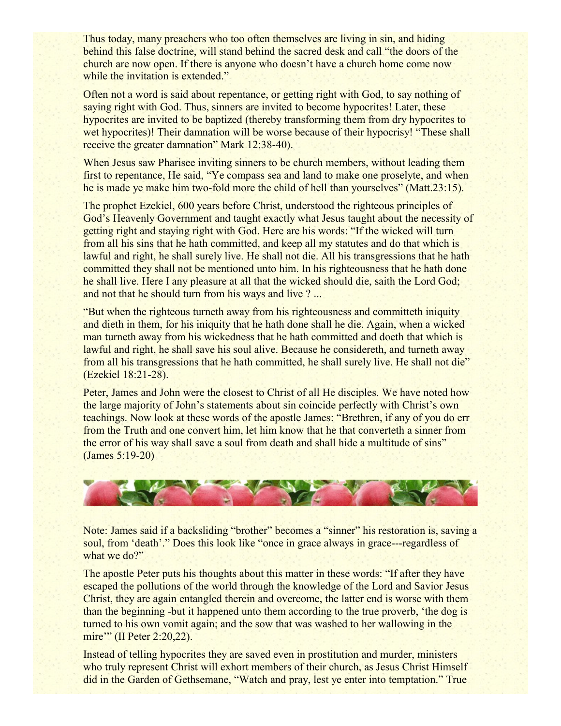Thus today, many preachers who too often themselves are living in sin, and hiding behind this false doctrine, will stand behind the sacred desk and call "the doors of the church are now open. If there is anyone who doesn't have a church home come now while the invitation is extended."

Often not a word is said about repentance, or getting right with God, to say nothing of saying right with God. Thus, sinners are invited to become hypocrites! Later, these hypocrites are invited to be baptized (thereby transforming them from dry hypocrites to wet hypocrites)! Their damnation will be worse because of their hypocrisy! "These shall receive the greater damnation" Mark 12:38-40).

When Jesus saw Pharisee inviting sinners to be church members, without leading them first to repentance, He said, "Ye compass sea and land to make one proselyte, and when he is made ye make him two-fold more the child of hell than yourselves" (Matt.23:15).

The prophet Ezekiel, 600 years before Christ, understood the righteous principles of God's Heavenly Government and taught exactly what Jesus taught about the necessity of getting right and staying right with God. Here are his words: "If the wicked will turn from all his sins that he hath committed, and keep all my statutes and do that which is lawful and right, he shall surely live. He shall not die. All his transgressions that he hath committed they shall not be mentioned unto him. In his righteousness that he hath done he shall live. Here I any pleasure at all that the wicked should die, saith the Lord God; and not that he should turn from his ways and live ?...

"But when the righteous turneth away from his righteousness and committeth iniquity and dieth in them, for his iniquity that he hath done shall he die. Again, when a wicked man turneth away from his wickedness that he hath committed and doeth that which is lawful and right, he shall save his soul alive. Because he considereth, and turneth away from all his transgressions that he hath committed, he shall surely live. He shall not die" (Ezekiel 18:21-28).

Peter, James and John were the closest to Christ of all He disciples. We have noted how the large majority of John's statements about sin coincide perfectly with Christ's own teachings. Now look at these words of the apostle James: "Brethren, if any of you do err from the Truth and one convert him, let him know that he that converteth a sinner from the error of his way shall save a soul from death and shall hide a multitude of sins" (James 5:19-20)



Note: James said if a backsliding "brother" becomes a "sinner" his restoration is, saving a soul, from 'death'." Does this look like "once in grace always in grace---regardless of what we do?"

The apostle Peter puts his thoughts about this matter in these words: "If after they have escaped the pollutions of the world through the knowledge of the Lord and Savior Jesus Christ, they are again entangled therein and overcome, the latter end is worse with them than the beginning -but it happened unto them according to the true proverb, 'the dog is turned to his own vomit again; and the sow that was washed to her wallowing in the mire'" (II Peter 2:20,22).

Instead of telling hypocrites they are saved even in prostitution and murder, ministers who truly represent Christ will exhort members of their church, as Jesus Christ Himself did in the Garden of Gethsemane, "Watch and pray, lest ye enter into temptation." True